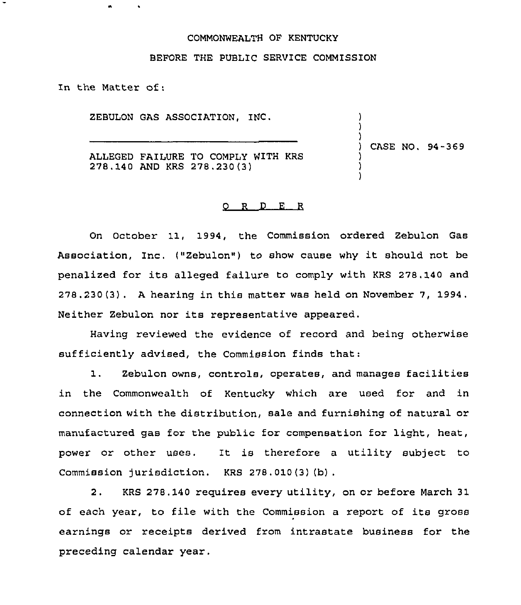## COMMONWEALTH OF KENTUCKY

## BEFORE THE PUBLIC SERVICE COMMISSION

In the Matter of:

ZEBULON GAS ASSOCIATION, INC.

) ) CASE NO. 94-369

) )

) ) )

ALLEGED FAILURE TO COMPLY WITH KRS 278.140 AND KRS 278.230(3)

## 0 R <sup>D</sup> E <sup>R</sup>

On October 11, 1994, the Commission ordered Zebulon Gas Association, Inc. ("Zebulon") to show cause why it should not be penalized for its alleged failure to comply with KRS 278.140 and 278.230(3), <sup>A</sup> hearing in this matter was held on November 7, 1994. Neither Zebulon nor its representative appeared.

Having reviewed the evidence of record and being otherwise sufficiently advised, the Commission finds that:

1. Zebulon owns, controls, operates, and manages facilities in the Commonwealth of Kentucky which are used for and in connection with the distribution, sale and furnishing of natural or manufactured gas for the public for compensation for light, heat, power or other uses. It is therefore a utility subject to Commission jurisdiction. KRS 278. 010 (3) (b) .

2. KRS 278.140 requires every utility, on or before March 31 of each year, to file with the Commission a report of its gross earnings or receipts derived from intrastate business for the preceding calendar year.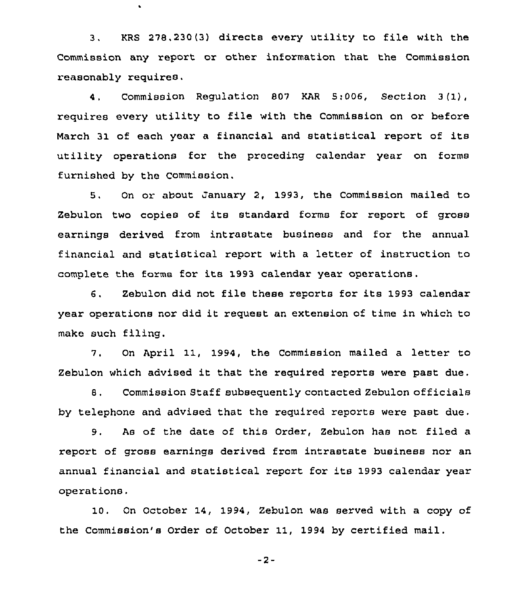3. KRS 278,230(3) directs every utility to file with the Commission any report or other information that the Commission reasonably requires.

 $\bullet$ 

4. Commission Regulation 807 KAR 5:006, Section 3(1), requires every utility to file with the Commission on or before March 31 of each year a financial and statistical report of its utility operations for the preceding calendar year on forms furnished by the Commission.

5. On or about January 2, 1993, the Commission mailed to Zebulon two copies of its standard forms for report of gross earnings derived from intrastate business and for the annual financial and statistical report with a letter of instruction to complete the forms for its 1993 calendar year operations.

6. Zebulon did not file these reports for its 1993 calendar year operations nor did it request an extension of time in which to make such filing.

7. On April 11, 1994, the Commission mailed a letter to Zebulon which advised it that the required reports were past due.

8, Commission Staff subsequently contacted Zebulon officials by telephone and advised that the required reports were past due.

9. As of the date of this Order, Zebulon has not filed a report of gross earnings derived from intrastate business nor an annual financial and statistical report for its 1993 calendar year operations.

10. On October 14, 1994, Zebulon was served with a copy of the Commission's Order of October 11, 1994 by certified mail.

 $-2-$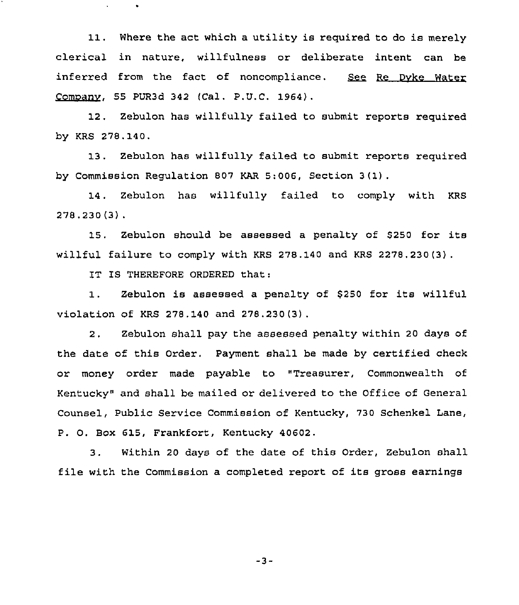11. Where the act which <sup>a</sup> utility is required to do is merely clerical in nature, willfulness or deliberate intent can be<br>inferred from the fact of noncompliance. <u>See Re Dyke Water</u> Comoanv, 55 PUR3d 342 (Cal. P.U.C. 1964).

12. Zebulon has willfully failed to submit reports required by KRS 278. 140.

13. Zebulon has willfully failed to submit reports required by Commission Regulation 807 KAR 5:006, Section <sup>3</sup> (1) .

14. Zebulon has willfully failed to comply with KRS 278.230(3) .

15, Zebulon should be assessed <sup>a</sup> penalty of 8250 for its willful failure to comply with KRS 278.140 and KRS 2278.230(3) .

IT IS THEREFORE ORDERED that:

 $\mathbf{u}$  .

 $\bullet$ 

1. Zebulon is assessed a penalty of \$250 for its willful violation of KRS 278.140 and 278.230(3).

2, Zebulon shall pay the assessed penalty within 20 days of the date of this Oxdex. Payment shall be made by cextified check or money order made payable to "Treasurex, Commonwealth of Kentucky" and shall be mailed or delivered to the Office of General Counsel, Public Service Commission of Kentucky, 730 Schenkel Lane, P. O. Box 615, Frankfort, Kentucky 40602.

3. Within <sup>20</sup> days of the date of this Order, Zebulon shall file with the Commission a completed report of its gross earnings

 $-3-$